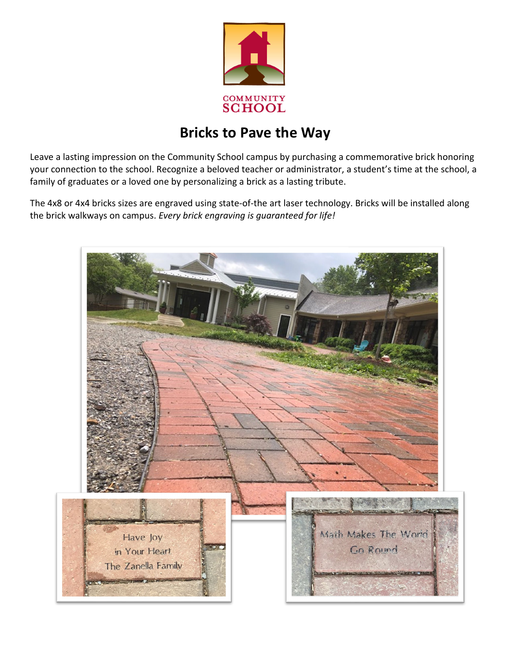

## **Bricks to Pave the Way**

Leave a lasting impression on the Community School campus by purchasing a commemorative brick honoring your connection to the school. Recognize a beloved teacher or administrator, a student's time at the school, a family of graduates or a loved one by personalizing a brick as a lasting tribute.

The 4x8 or 4x4 bricks sizes are engraved using state-of-the art laser technology. Bricks will be installed along the brick walkways on campus. *Every brick engraving is guaranteed for life!*